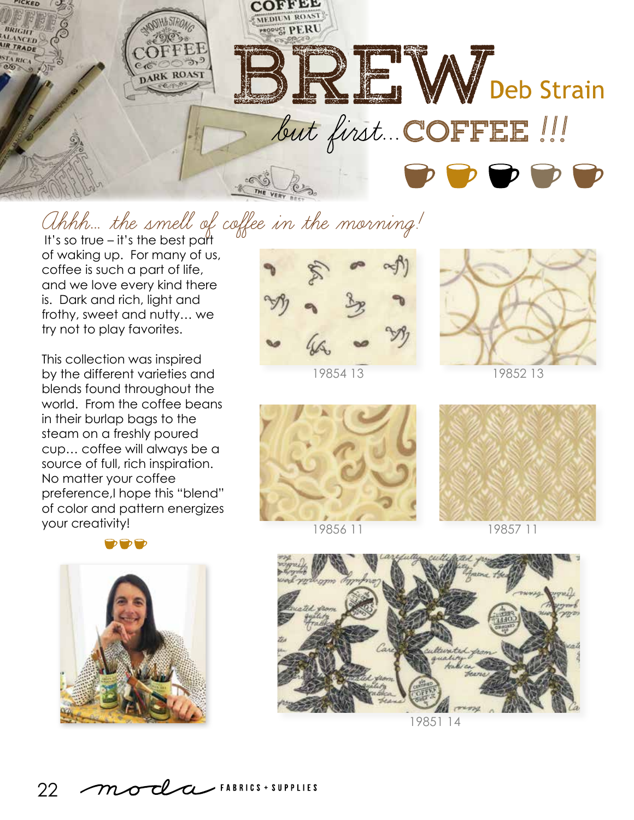

## Ahhh… the smell of coffee in the morning!

It's so true – it's the best part of waking up. For many of us, coffee is such a part of life, and we love every kind there is. Dark and rich, light and frothy, sweet and nutty… we try not to play favorites.

This collection was inspired by the different varieties and blends found throughout the world. From the coffee beans in their burlap bags to the steam on a freshly poured cup… coffee will always be a source of full, rich inspiration. No matter your coffee preference,I hope this "blend" of color and pattern energizes your creativity!

DDD





19854 13



19852 13



19856 11



19857 11



19851 14

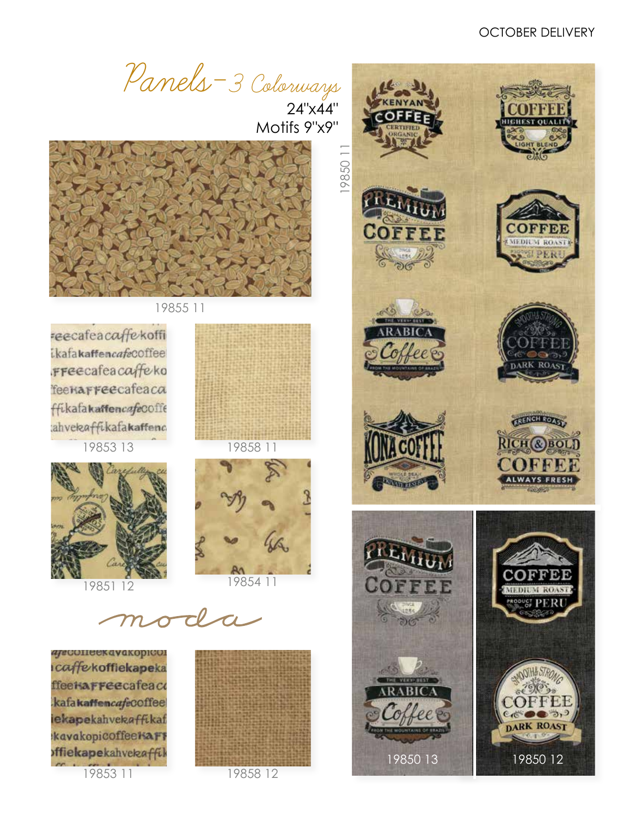Panels-3 Colorways

 24"x44" Motifs 9"x9"



19855 11

reecafeacaffekoffi ikafakaffencafecoffee **FFeecafeacaffeko** Teenarreecafeaca ffikafakaffencafeCOffe ahvekaffikafakaffenc

19853 13 19858 11





moda

*aje* comee kava kopicol caffekoffiekapeka ffeekaFFeecafeaco kafakaffencafecoffee iekapekahvekaffikaf kavakopicoffeekaFF offiekapekahvekaffil

19853 11



19858 12

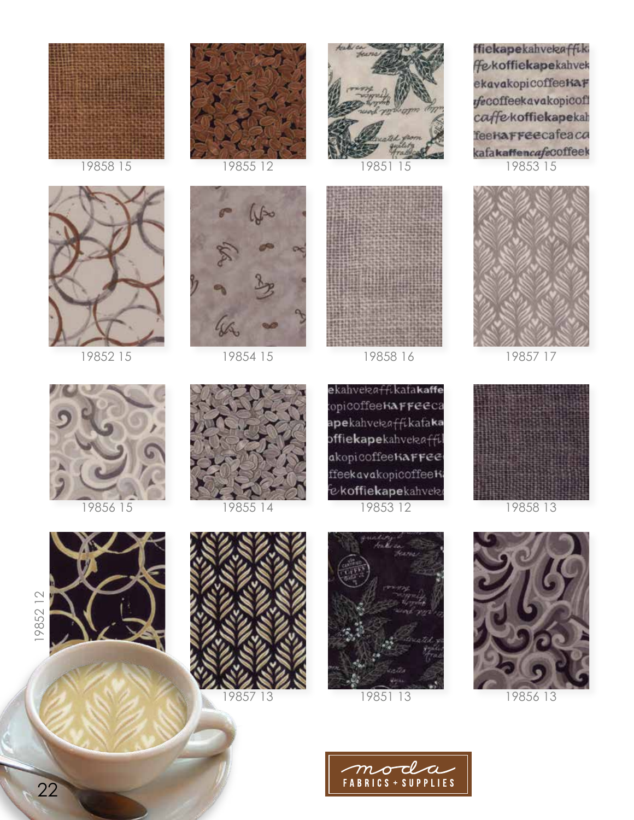



19852 15



19858 15 19855 12 19851 15



19854 15





19858 16 19857 17

ffiekapekahvekaffiki **Fekoffiekapekahvek** ekavakopicoffeeKaF fecoffeekavakopicoff caffekoffiekapekah feekarreecafeaca kafakaffencafeCOffeek 19853 15











19858 13



19852 12











22